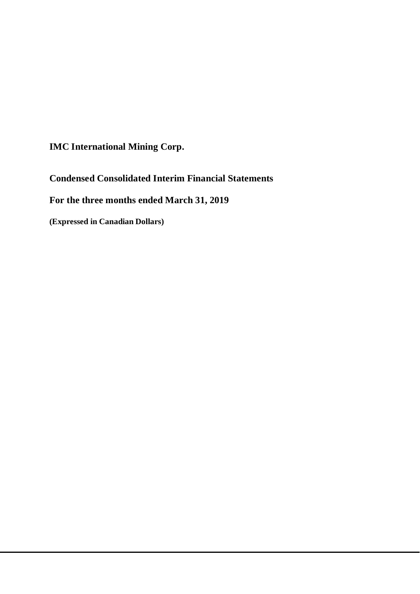**IMC International Mining Corp.**

**Condensed Consolidated Interim Financial Statements**

**For the three months ended March 31, 2019**

**(Expressed in Canadian Dollars)**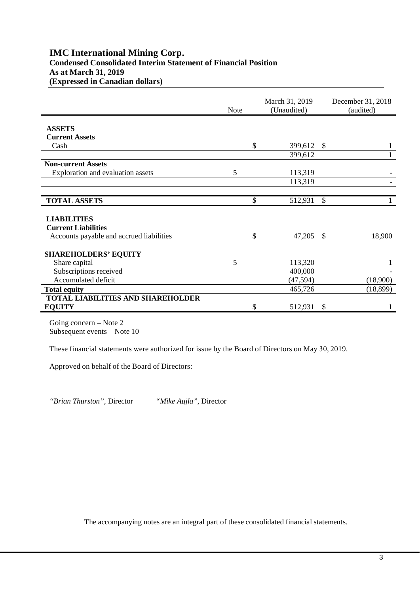## **IMC International Mining Corp. Condensed Consolidated Interim Statement of Financial Position As at March 31, 2019 (Expressed in Canadian dollars)**

|                                          | <b>Note</b> | March 31, 2019<br>(Unaudited) |               | December 31, 2018<br>(audited) |  |
|------------------------------------------|-------------|-------------------------------|---------------|--------------------------------|--|
|                                          |             |                               |               |                                |  |
| <b>ASSETS</b>                            |             |                               |               |                                |  |
| <b>Current Assets</b>                    |             |                               |               |                                |  |
| Cash                                     |             | \$<br>399,612                 | $\mathcal{S}$ | 1                              |  |
|                                          |             | 399,612                       |               | $\mathbf{1}$                   |  |
| <b>Non-current Assets</b>                |             |                               |               |                                |  |
| Exploration and evaluation assets        | 5           | 113,319                       |               |                                |  |
|                                          |             | 113,319                       |               |                                |  |
|                                          |             |                               |               |                                |  |
| <b>TOTAL ASSETS</b>                      |             | \$<br>512,931                 | $\mathbb{S}$  |                                |  |
|                                          |             |                               |               |                                |  |
| <b>LIABILITIES</b>                       |             |                               |               |                                |  |
| <b>Current Liabilities</b>               |             |                               |               |                                |  |
| Accounts payable and accrued liabilities |             | \$<br>47,205                  | -\$           | 18,900                         |  |
|                                          |             |                               |               |                                |  |
| <b>SHAREHOLDERS' EQUITY</b>              |             |                               |               |                                |  |
| Share capital                            | 5           | 113,320                       |               | 1                              |  |
| Subscriptions received                   |             | 400,000                       |               |                                |  |
| Accumulated deficit                      |             | (47, 594)                     |               | (18,900)                       |  |
| <b>Total equity</b>                      |             | 465,726                       |               | (18, 899)                      |  |
| <b>TOTAL LIABILITIES AND SHAREHOLDER</b> |             |                               |               |                                |  |
| <b>EQUITY</b>                            |             | \$<br>512,931                 | \$            |                                |  |

Going concern – Note 2 Subsequent events – Note 10

These financial statements were authorized for issue by the Board of Directors on May 30, 2019.

Approved on behalf of the Board of Directors:

*"Brian Thurston",* Director *"Mike Aujla",* Director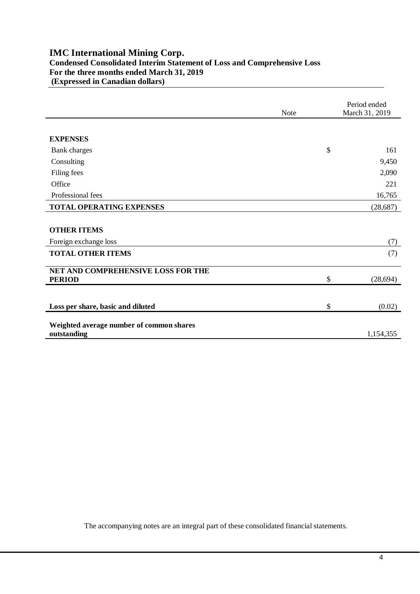## **IMC International Mining Corp. Condensed Consolidated Interim Statement of Loss and Comprehensive Loss For the three months ended March 31, 2019 (Expressed in Canadian dollars)**

|                                                     | <b>Note</b> | Period ended<br>March 31, 2019 |
|-----------------------------------------------------|-------------|--------------------------------|
|                                                     |             |                                |
| <b>EXPENSES</b>                                     |             |                                |
| <b>Bank</b> charges                                 |             | \$<br>161                      |
| Consulting                                          |             | 9,450                          |
| Filing fees                                         |             | 2,090                          |
| Office                                              |             | 221                            |
| Professional fees                                   |             | 16,765                         |
| <b>TOTAL OPERATING EXPENSES</b>                     |             | (28, 687)                      |
|                                                     |             |                                |
| <b>OTHER ITEMS</b>                                  |             |                                |
| Foreign exchange loss                               |             | (7)                            |
| <b>TOTAL OTHER ITEMS</b>                            |             | (7)                            |
|                                                     |             |                                |
| NET AND COMPREHENSIVE LOSS FOR THE<br><b>PERIOD</b> |             | \$<br>(28, 694)                |
|                                                     |             |                                |
|                                                     |             |                                |
| Loss per share, basic and diluted                   |             | \$<br>(0.02)                   |
| Weighted average number of common shares            |             |                                |
| outstanding                                         |             | 1,154,355                      |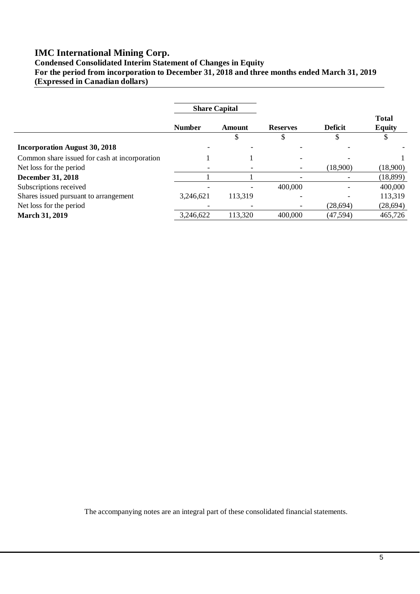# **IMC International Mining Corp.**

**Condensed Consolidated Interim Statement of Changes in Equity For the period from incorporation to December 31, 2018 and three months ended March 31, 2019 (Expressed in Canadian dollars)**

|                                               | <b>Share Capital</b> |         |                 |                |                               |
|-----------------------------------------------|----------------------|---------|-----------------|----------------|-------------------------------|
|                                               | <b>Number</b>        | Amount  | <b>Reserves</b> | <b>Deficit</b> | <b>Total</b><br><b>Equity</b> |
|                                               |                      | J       |                 |                |                               |
| <b>Incorporation August 30, 2018</b>          |                      |         |                 |                |                               |
| Common share issued for cash at incorporation |                      |         |                 |                |                               |
| Net loss for the period                       |                      |         |                 | (18,900)       | (18,900)                      |
| <b>December 31, 2018</b>                      |                      |         |                 |                | (18,899)                      |
| Subscriptions received                        |                      |         | 400,000         |                | 400,000                       |
| Shares issued pursuant to arrangement         | 3,246,621            | 113,319 |                 |                | 113,319                       |
| Net loss for the period                       |                      |         |                 | (28,694)       | (28, 694)                     |
| <b>March 31, 2019</b>                         | 3,246,622            | 113,320 | 400,000         | (47, 594)      | 465,726                       |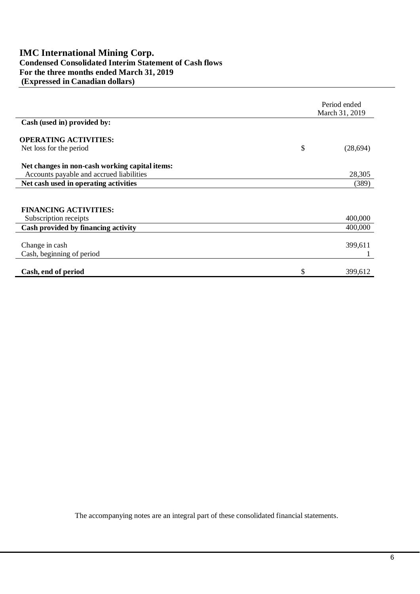## **IMC International Mining Corp. Condensed Consolidated Interim Statement of Cash flows For the three months ended March 31, 2019 (Expressed in Canadian dollars)**

|                                                | Period ended<br>March 31, 2019 |  |
|------------------------------------------------|--------------------------------|--|
| Cash (used in) provided by:                    |                                |  |
| <b>OPERATING ACTIVITIES:</b>                   |                                |  |
| Net loss for the period                        | \$<br>(28,694)                 |  |
| Net changes in non-cash working capital items: |                                |  |
| Accounts payable and accrued liabilities       | 28,305                         |  |
| Net cash used in operating activities          | (389)                          |  |
|                                                |                                |  |
| <b>FINANCING ACTIVITIES:</b>                   |                                |  |
| Subscription receipts                          | 400,000                        |  |
| Cash provided by financing activity            | 400,000                        |  |
|                                                |                                |  |
| Change in cash                                 | 399,611                        |  |
| Cash, beginning of period                      |                                |  |
|                                                |                                |  |
| Cash, end of period                            | \$<br>399,612                  |  |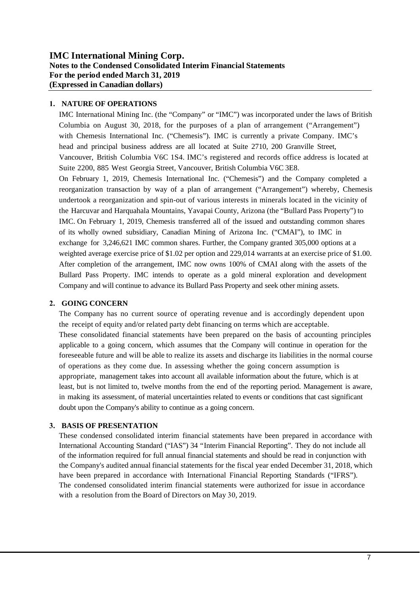## **IMC International Mining Corp. Notes to the Condensed Consolidated Interim Financial Statements For the period ended March 31, 2019 (Expressed in Canadian dollars)**

### **1. NATURE OF OPERATIONS**

IMC International Mining Inc. (the "Company" or "IMC") was incorporated under the laws of British Columbia on August 30, 2018, for the purposes of a plan of arrangement ("Arrangement") with Chemesis International Inc. ("Chemesis"). IMC is currently a private Company. IMC's head and principal business address are all located at Suite 2710, 200 Granville Street, Vancouver, British Columbia V6C 1S4. IMC's registered and records office address is located at Suite 2200, 885 West Georgia Street, Vancouver, British Columbia V6C 3E8. On February 1, 2019, Chemesis International Inc. ("Chemesis") and the Company completed a reorganization transaction by way of a plan of arrangement ("Arrangement") whereby, Chemesis undertook a reorganization and spin-out of various interests in minerals located in the vicinity of the Harcuvar and Harquahala Mountains, Yavapai County, Arizona (the "Bullard Pass Property") to IMC. On February 1, 2019, Chemesis transferred all of the issued and outstanding common shares of its wholly owned subsidiary, Canadian Mining of Arizona Inc. ("CMAI"), to IMC in exchange for 3,246,621 IMC common shares. Further, the Company granted 305,000 options at a weighted average exercise price of \$1.02 per option and 229,014 warrants at an exercise price of \$1.00. After completion of the arrangement, IMC now owns 100% of CMAI along with the assets of the Bullard Pass Property. IMC intends to operate as a gold mineral exploration and development Company and will continue to advance its Bullard Pass Property and seek other mining assets.

#### **2. GOING CONCERN**

The Company has no current source of operating revenue and is accordingly dependent upon the receipt of equity and/or related party debt financing on terms which are acceptable. These consolidated financial statements have been prepared on the basis of accounting principles applicable to a going concern, which assumes that the Company will continue in operation for the foreseeable future and will be able to realize its assets and discharge its liabilities in the normal course of operations as they come due. In assessing whether the going concern assumption is appropriate, management takes into account all available information about the future, which is at least, but is not limited to, twelve months from the end of the reporting period. Management is aware, in making its assessment, of material uncertainties related to events or conditions that cast significant doubt upon the Company's ability to continue as a going concern.

## **3. BASIS OF PRESENTATION**

These condensed consolidated interim financial statements have been prepared in accordance with International Accounting Standard ("IAS") 34 "Interim Financial Reporting". They do not include all of the information required for full annual financial statements and should be read in conjunction with the Company's audited annual financial statements for the fiscal year ended December 31, 2018, which have been prepared in accordance with International Financial Reporting Standards ("IFRS"). The condensed consolidated interim financial statements were authorized for issue in accordance with a resolution from the Board of Directors on May 30, 2019.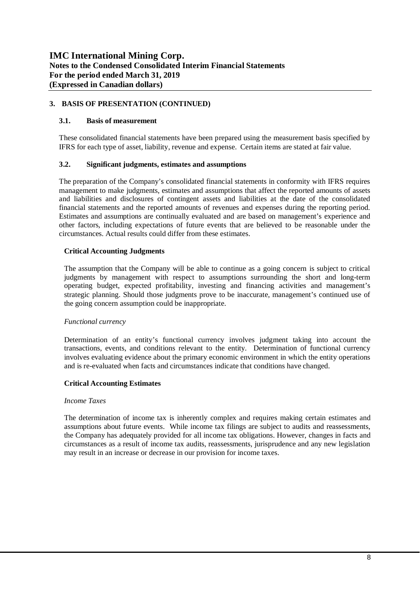## **3. BASIS OF PRESENTATION (CONTINUED)**

#### **3.1. Basis of measurement**

These consolidated financial statements have been prepared using the measurement basis specified by IFRS for each type of asset, liability, revenue and expense. Certain items are stated at fair value.

#### **3.2. Significant judgments, estimates and assumptions**

The preparation of the Company's consolidated financial statements in conformity with IFRS requires management to make judgments, estimates and assumptions that affect the reported amounts of assets and liabilities and disclosures of contingent assets and liabilities at the date of the consolidated financial statements and the reported amounts of revenues and expenses during the reporting period. Estimates and assumptions are continually evaluated and are based on management's experience and other factors, including expectations of future events that are believed to be reasonable under the circumstances. Actual results could differ from these estimates.

#### **Critical Accounting Judgments**

The assumption that the Company will be able to continue as a going concern is subject to critical judgments by management with respect to assumptions surrounding the short and long-term operating budget, expected profitability, investing and financing activities and management's strategic planning. Should those judgments prove to be inaccurate, management's continued use of the going concern assumption could be inappropriate.

#### *Functional currency*

Determination of an entity's functional currency involves judgment taking into account the transactions, events, and conditions relevant to the entity. Determination of functional currency involves evaluating evidence about the primary economic environment in which the entity operations and is re-evaluated when facts and circumstances indicate that conditions have changed.

#### **Critical Accounting Estimates**

#### *Income Taxes*

The determination of income tax is inherently complex and requires making certain estimates and assumptions about future events. While income tax filings are subject to audits and reassessments, the Company has adequately provided for all income tax obligations. However, changes in facts and circumstances as a result of income tax audits, reassessments, jurisprudence and any new legislation may result in an increase or decrease in our provision for income taxes.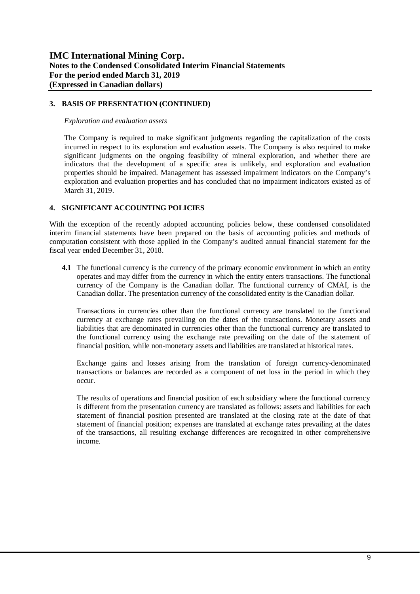### **3. BASIS OF PRESENTATION (CONTINUED)**

#### *Exploration and evaluation assets*

The Company is required to make significant judgments regarding the capitalization of the costs incurred in respect to its exploration and evaluation assets. The Company is also required to make significant judgments on the ongoing feasibility of mineral exploration, and whether there are indicators that the development of a specific area is unlikely, and exploration and evaluation properties should be impaired. Management has assessed impairment indicators on the Company's exploration and evaluation properties and has concluded that no impairment indicators existed as of March 31, 2019.

### **4. SIGNIFICANT ACCOUNTING POLICIES**

With the exception of the recently adopted accounting policies below, these condensed consolidated interim financial statements have been prepared on the basis of accounting policies and methods of computation consistent with those applied in the Company's audited annual financial statement for the fiscal year ended December 31, 2018.

**4.1** The functional currency is the currency of the primary economic environment in which an entity operates and may differ from the currency in which the entity enters transactions. The functional currency of the Company is the Canadian dollar. The functional currency of CMAI, is the Canadian dollar. The presentation currency of the consolidated entity is the Canadian dollar.

Transactions in currencies other than the functional currency are translated to the functional currency at exchange rates prevailing on the dates of the transactions. Monetary assets and liabilities that are denominated in currencies other than the functional currency are translated to the functional currency using the exchange rate prevailing on the date of the statement of financial position, while non-monetary assets and liabilities are translated at historical rates.

Exchange gains and losses arising from the translation of foreign currency-denominated transactions or balances are recorded as a component of net loss in the period in which they occur.

The results of operations and financial position of each subsidiary where the functional currency is different from the presentation currency are translated as follows: assets and liabilities for each statement of financial position presented are translated at the closing rate at the date of that statement of financial position; expenses are translated at exchange rates prevailing at the dates of the transactions, all resulting exchange differences are recognized in other comprehensive income.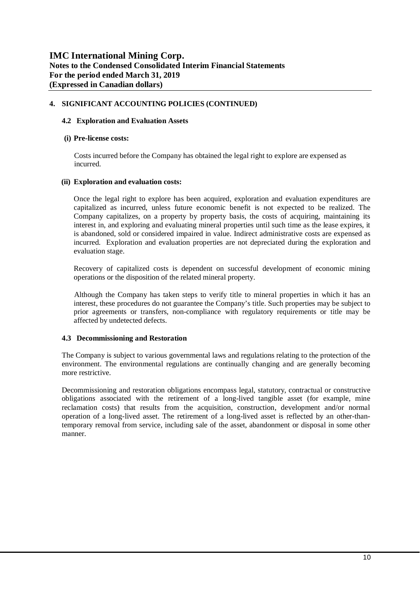#### **4. SIGNIFICANT ACCOUNTING POLICIES (CONTINUED)**

#### **4.2 Exploration and Evaluation Assets**

#### **(i) Pre-license costs:**

Costs incurred before the Company has obtained the legal right to explore are expensed as incurred.

### **(ii) Exploration and evaluation costs:**

Once the legal right to explore has been acquired, exploration and evaluation expenditures are capitalized as incurred, unless future economic benefit is not expected to be realized. The Company capitalizes, on a property by property basis, the costs of acquiring, maintaining its interest in, and exploring and evaluating mineral properties until such time as the lease expires, it is abandoned, sold or considered impaired in value. Indirect administrative costs are expensed as incurred. Exploration and evaluation properties are not depreciated during the exploration and evaluation stage.

Recovery of capitalized costs is dependent on successful development of economic mining operations or the disposition of the related mineral property.

 Although the Company has taken steps to verify title to mineral properties in which it has an interest, these procedures do not guarantee the Company's title. Such properties may be subject to prior agreements or transfers, non-compliance with regulatory requirements or title may be affected by undetected defects.

## **4.3 Decommissioning and Restoration**

The Company is subject to various governmental laws and regulations relating to the protection of the environment. The environmental regulations are continually changing and are generally becoming more restrictive.

Decommissioning and restoration obligations encompass legal, statutory, contractual or constructive obligations associated with the retirement of a long-lived tangible asset (for example, mine reclamation costs) that results from the acquisition, construction, development and/or normal operation of a long-lived asset. The retirement of a long-lived asset is reflected by an other-thantemporary removal from service, including sale of the asset, abandonment or disposal in some other manner.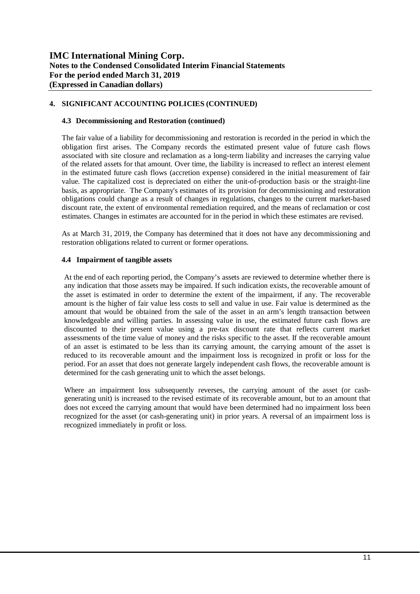### **4. SIGNIFICANT ACCOUNTING POLICIES (CONTINUED)**

#### **4.3 Decommissioning and Restoration (continued)**

The fair value of a liability for decommissioning and restoration is recorded in the period in which the obligation first arises. The Company records the estimated present value of future cash flows associated with site closure and reclamation as a long-term liability and increases the carrying value of the related assets for that amount. Over time, the liability is increased to reflect an interest element in the estimated future cash flows (accretion expense) considered in the initial measurement of fair value. The capitalized cost is depreciated on either the unit-of-production basis or the straight-line basis, as appropriate. The Company's estimates of its provision for decommissioning and restoration obligations could change as a result of changes in regulations, changes to the current market-based discount rate, the extent of environmental remediation required, and the means of reclamation or cost estimates. Changes in estimates are accounted for in the period in which these estimates are revised.

As at March 31, 2019, the Company has determined that it does not have any decommissioning and restoration obligations related to current or former operations.

#### **4.4 Impairment of tangible assets**

At the end of each reporting period, the Company's assets are reviewed to determine whether there is any indication that those assets may be impaired. If such indication exists, the recoverable amount of the asset is estimated in order to determine the extent of the impairment, if any. The recoverable amount is the higher of fair value less costs to sell and value in use. Fair value is determined as the amount that would be obtained from the sale of the asset in an arm's length transaction between knowledgeable and willing parties. In assessing value in use, the estimated future cash flows are discounted to their present value using a pre-tax discount rate that reflects current market assessments of the time value of money and the risks specific to the asset. If the recoverable amount of an asset is estimated to be less than its carrying amount, the carrying amount of the asset is reduced to its recoverable amount and the impairment loss is recognized in profit or loss for the period. For an asset that does not generate largely independent cash flows, the recoverable amount is determined for the cash generating unit to which the asset belongs.

Where an impairment loss subsequently reverses, the carrying amount of the asset (or cashgenerating unit) is increased to the revised estimate of its recoverable amount, but to an amount that does not exceed the carrying amount that would have been determined had no impairment loss been recognized for the asset (or cash-generating unit) in prior years. A reversal of an impairment loss is recognized immediately in profit or loss.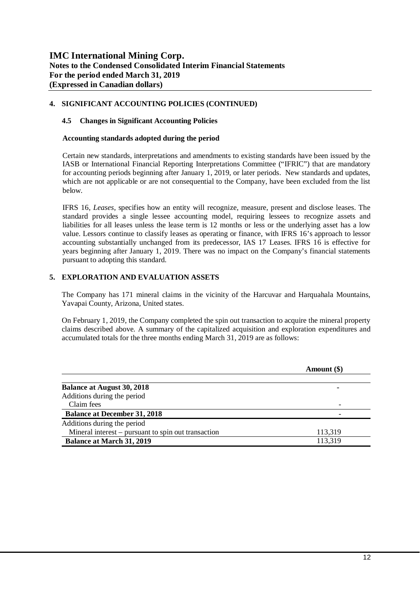#### **4. SIGNIFICANT ACCOUNTING POLICIES (CONTINUED)**

#### **4.5 Changes in Significant Accounting Policies**

#### **Accounting standards adopted during the period**

Certain new standards, interpretations and amendments to existing standards have been issued by the IASB or International Financial Reporting Interpretations Committee ("IFRIC") that are mandatory for accounting periods beginning after January 1, 2019, or later periods. New standards and updates, which are not applicable or are not consequential to the Company, have been excluded from the list below.

IFRS 16, *Leases*, specifies how an entity will recognize, measure, present and disclose leases. The standard provides a single lessee accounting model, requiring lessees to recognize assets and liabilities for all leases unless the lease term is 12 months or less or the underlying asset has a low value. Lessors continue to classify leases as operating or finance, with IFRS 16's approach to lessor accounting substantially unchanged from its predecessor, IAS 17 Leases. IFRS 16 is effective for years beginning after January 1, 2019. There was no impact on the Company's financial statements pursuant to adopting this standard.

#### **5. EXPLORATION AND EVALUATION ASSETS**

The Company has 171 mineral claims in the vicinity of the Harcuvar and Harquahala Mountains, Yavapai County, Arizona, United states.

On February 1, 2019, the Company completed the spin out transaction to acquire the mineral property claims described above. A summary of the capitalized acquisition and exploration expenditures and accumulated totals for the three months ending March 31, 2019 are as follows:

|                                                     | Amount (\$) |
|-----------------------------------------------------|-------------|
| <b>Balance at August 30, 2018</b>                   |             |
| Additions during the period                         |             |
| Claim fees                                          |             |
| <b>Balance at December 31, 2018</b>                 |             |
| Additions during the period                         |             |
| Mineral interest – pursuant to spin out transaction | 113,319     |
| <b>Balance at March 31, 2019</b>                    | 113,319     |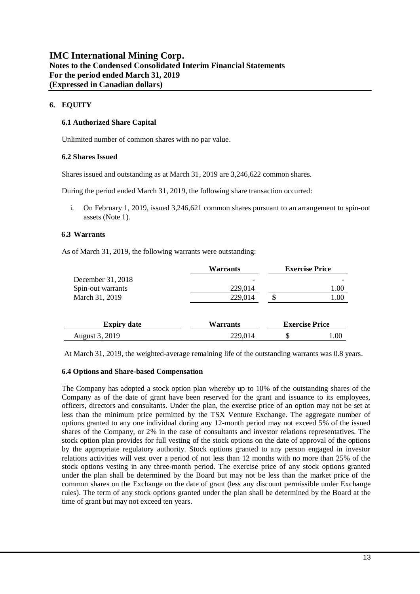## **6. EQUITY**

#### **6.1 Authorized Share Capital**

Unlimited number of common shares with no par value.

#### **6.2 Shares Issued**

Shares issued and outstanding as at March 31, 2019 are 3,246,622 common shares.

During the period ended March 31, 2019, the following share transaction occurred:

i. On February 1, 2019, issued 3,246,621 common shares pursuant to an arrangement to spin-out assets (Note 1).

#### **6.3 Warrants**

As of March 31, 2019, the following warrants were outstanding:

|                    | Warrants |                       | <b>Exercise Price</b> |
|--------------------|----------|-----------------------|-----------------------|
| December 31, 2018  |          |                       |                       |
| Spin-out warrants  | 229,014  |                       | 1.00                  |
| March 31, 2019     | 229,014  |                       | $1.00\,$              |
| <b>Expiry date</b> | Warrants | <b>Exercise Price</b> |                       |
| August 3, 2019     | 229,014  | S                     | 1.00                  |

At March 31, 2019, the weighted-average remaining life of the outstanding warrants was 0.8 years.

#### **6.4 Options and Share-based Compensation**

The Company has adopted a stock option plan whereby up to 10% of the outstanding shares of the Company as of the date of grant have been reserved for the grant and issuance to its employees, officers, directors and consultants. Under the plan, the exercise price of an option may not be set at less than the minimum price permitted by the TSX Venture Exchange. The aggregate number of options granted to any one individual during any 12-month period may not exceed 5% of the issued shares of the Company, or 2% in the case of consultants and investor relations representatives. The stock option plan provides for full vesting of the stock options on the date of approval of the options by the appropriate regulatory authority. Stock options granted to any person engaged in investor relations activities will vest over a period of not less than 12 months with no more than 25% of the stock options vesting in any three-month period. The exercise price of any stock options granted under the plan shall be determined by the Board but may not be less than the market price of the common shares on the Exchange on the date of grant (less any discount permissible under Exchange rules). The term of any stock options granted under the plan shall be determined by the Board at the time of grant but may not exceed ten years.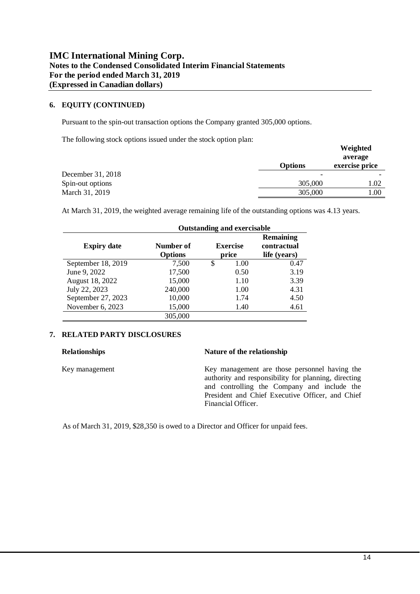#### **6. EQUITY (CONTINUED)**

Pursuant to the spin-out transaction options the Company granted 305,000 options.

The following stock options issued under the stock option plan:

| The following stock options issued under the stock option plan. | <b>Options</b> | Weighted<br>average<br>exercise price |
|-----------------------------------------------------------------|----------------|---------------------------------------|
| December 31, 2018                                               |                |                                       |
| Spin-out options                                                | 305,000        | 1.02                                  |
| March 31, 2019                                                  | 305,000        | 1.00                                  |

At March 31, 2019, the weighted average remaining life of the outstanding options was 4.13 years.

|                    | <b>Outstanding and exercisable</b> |    |                          |                                                 |  |
|--------------------|------------------------------------|----|--------------------------|-------------------------------------------------|--|
| <b>Expiry date</b> | Number of<br><b>Options</b>        |    | <b>Exercise</b><br>price | <b>Remaining</b><br>contractual<br>life (years) |  |
| September 18, 2019 | 7,500                              | \$ | 1.00                     | 0.47                                            |  |
| June 9, 2022       | 17,500                             |    | 0.50                     | 3.19                                            |  |
| August 18, 2022    | 15,000                             |    | 1.10                     | 3.39                                            |  |
| July 22, 2023      | 240,000                            |    | 1.00                     | 4.31                                            |  |
| September 27, 2023 | 10,000                             |    | 1.74                     | 4.50                                            |  |
| November 6, 2023   | 15,000                             |    | 1.40                     | 4.61                                            |  |
|                    | 305,000                            |    |                          |                                                 |  |

#### **7. RELATED PARTY DISCLOSURES**

### **Relationships Nature of the relationship**

Key management Key management are those personnel having the authority and responsibility for planning, directing and controlling the Company and include the President and Chief Executive Officer, and Chief Financial Officer.

As of March 31, 2019, \$28,350 is owed to a Director and Officer for unpaid fees.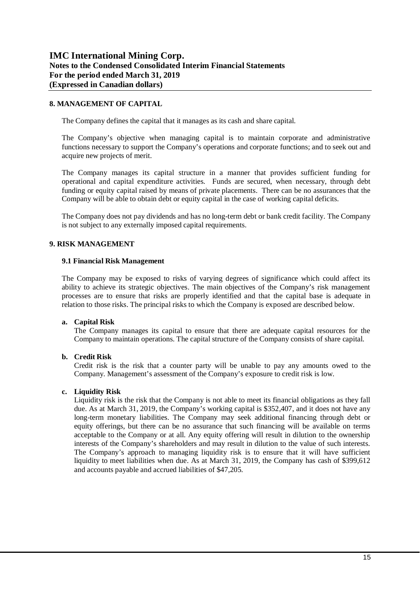#### **8. MANAGEMENT OF CAPITAL**

The Company defines the capital that it manages as its cash and share capital.

The Company's objective when managing capital is to maintain corporate and administrative functions necessary to support the Company's operations and corporate functions; and to seek out and acquire new projects of merit.

The Company manages its capital structure in a manner that provides sufficient funding for operational and capital expenditure activities. Funds are secured, when necessary, through debt funding or equity capital raised by means of private placements. There can be no assurances that the Company will be able to obtain debt or equity capital in the case of working capital deficits.

The Company does not pay dividends and has no long-term debt or bank credit facility. The Company is not subject to any externally imposed capital requirements.

#### **9. RISK MANAGEMENT**

#### **9.1 Financial Risk Management**

The Company may be exposed to risks of varying degrees of significance which could affect its ability to achieve its strategic objectives. The main objectives of the Company's risk management processes are to ensure that risks are properly identified and that the capital base is adequate in relation to those risks. The principal risks to which the Company is exposed are described below.

#### **a. Capital Risk**

The Company manages its capital to ensure that there are adequate capital resources for the Company to maintain operations. The capital structure of the Company consists of share capital.

#### **b. Credit Risk**

Credit risk is the risk that a counter party will be unable to pay any amounts owed to the Company. Management's assessment of the Company's exposure to credit risk is low.

#### **c. Liquidity Risk**

Liquidity risk is the risk that the Company is not able to meet its financial obligations as they fall due. As at March 31, 2019, the Company's working capital is \$352,407, and it does not have any long-term monetary liabilities. The Company may seek additional financing through debt or equity offerings, but there can be no assurance that such financing will be available on terms acceptable to the Company or at all. Any equity offering will result in dilution to the ownership interests of the Company's shareholders and may result in dilution to the value of such interests. The Company's approach to managing liquidity risk is to ensure that it will have sufficient liquidity to meet liabilities when due. As at March 31, 2019, the Company has cash of \$399,612 and accounts payable and accrued liabilities of \$47,205.